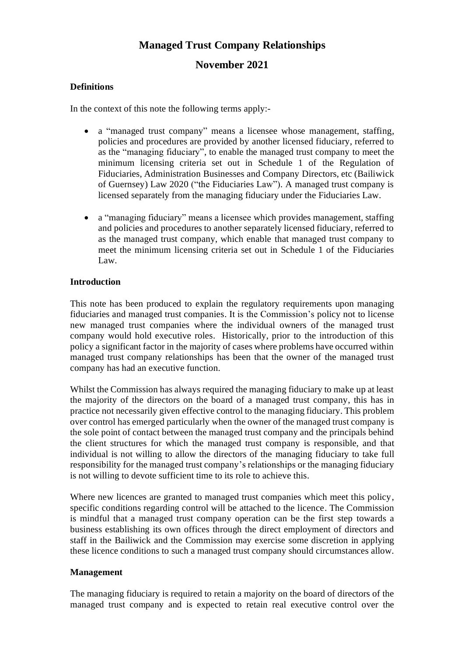# **Managed Trust Company Relationships**

# **November 2021**

# **Definitions**

In the context of this note the following terms apply:-

- a "managed trust company" means a licensee whose management, staffing, policies and procedures are provided by another licensed fiduciary, referred to as the "managing fiduciary", to enable the managed trust company to meet the minimum licensing criteria set out in Schedule 1 of the Regulation of Fiduciaries, Administration Businesses and Company Directors, etc (Bailiwick of Guernsey) Law 2020 ("the Fiduciaries Law"). A managed trust company is licensed separately from the managing fiduciary under the Fiduciaries Law.
- a "managing fiduciary" means a licensee which provides management, staffing and policies and procedures to another separately licensed fiduciary, referred to as the managed trust company, which enable that managed trust company to meet the minimum licensing criteria set out in Schedule 1 of the Fiduciaries Law.

## **Introduction**

This note has been produced to explain the regulatory requirements upon managing fiduciaries and managed trust companies. It is the Commission's policy not to license new managed trust companies where the individual owners of the managed trust company would hold executive roles. Historically, prior to the introduction of this policy a significant factor in the majority of cases where problems have occurred within managed trust company relationships has been that the owner of the managed trust company has had an executive function.

Whilst the Commission has always required the managing fiduciary to make up at least the majority of the directors on the board of a managed trust company, this has in practice not necessarily given effective control to the managing fiduciary. This problem over control has emerged particularly when the owner of the managed trust company is the sole point of contact between the managed trust company and the principals behind the client structures for which the managed trust company is responsible, and that individual is not willing to allow the directors of the managing fiduciary to take full responsibility for the managed trust company's relationships or the managing fiduciary is not willing to devote sufficient time to its role to achieve this.

Where new licences are granted to managed trust companies which meet this policy, specific conditions regarding control will be attached to the licence. The Commission is mindful that a managed trust company operation can be the first step towards a business establishing its own offices through the direct employment of directors and staff in the Bailiwick and the Commission may exercise some discretion in applying these licence conditions to such a managed trust company should circumstances allow.

#### **Management**

The managing fiduciary is required to retain a majority on the board of directors of the managed trust company and is expected to retain real executive control over the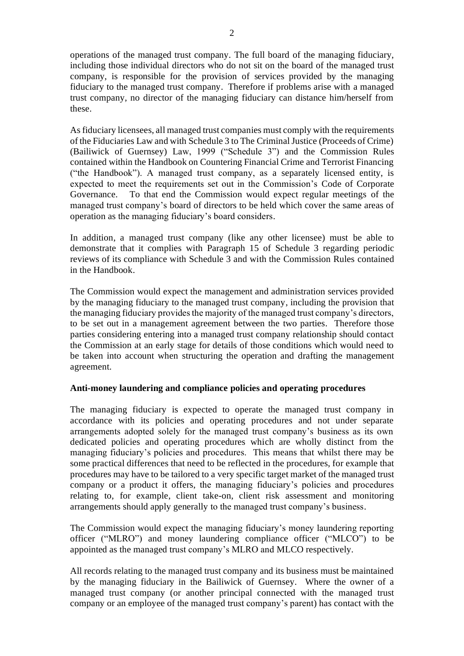operations of the managed trust company. The full board of the managing fiduciary, including those individual directors who do not sit on the board of the managed trust company, is responsible for the provision of services provided by the managing fiduciary to the managed trust company. Therefore if problems arise with a managed trust company, no director of the managing fiduciary can distance him/herself from these.

Asfiduciary licensees, all managed trust companies must comply with the requirements of the Fiduciaries Law and with Schedule 3 to The Criminal Justice (Proceeds of Crime) (Bailiwick of Guernsey) Law, 1999 ("Schedule 3") and the Commission Rules contained within the Handbook on Countering Financial Crime and Terrorist Financing ("the Handbook"). A managed trust company, as a separately licensed entity, is expected to meet the requirements set out in the Commission's Code of Corporate Governance. To that end the Commission would expect regular meetings of the managed trust company's board of directors to be held which cover the same areas of operation as the managing fiduciary's board considers.

In addition, a managed trust company (like any other licensee) must be able to demonstrate that it complies with Paragraph 15 of Schedule 3 regarding periodic reviews of its compliance with Schedule 3 and with the Commission Rules contained in the Handbook.

The Commission would expect the management and administration services provided by the managing fiduciary to the managed trust company, including the provision that the managing fiduciary provides the majority of the managed trust company's directors, to be set out in a management agreement between the two parties. Therefore those parties considering entering into a managed trust company relationship should contact the Commission at an early stage for details of those conditions which would need to be taken into account when structuring the operation and drafting the management agreement.

#### **Anti-money laundering and compliance policies and operating procedures**

The managing fiduciary is expected to operate the managed trust company in accordance with its policies and operating procedures and not under separate arrangements adopted solely for the managed trust company's business as its own dedicated policies and operating procedures which are wholly distinct from the managing fiduciary's policies and procedures. This means that whilst there may be some practical differences that need to be reflected in the procedures, for example that procedures may have to be tailored to a very specific target market of the managed trust company or a product it offers, the managing fiduciary's policies and procedures relating to, for example, client take-on, client risk assessment and monitoring arrangements should apply generally to the managed trust company's business.

The Commission would expect the managing fiduciary's money laundering reporting officer ("MLRO") and money laundering compliance officer ("MLCO") to be appointed as the managed trust company's MLRO and MLCO respectively.

All records relating to the managed trust company and its business must be maintained by the managing fiduciary in the Bailiwick of Guernsey. Where the owner of a managed trust company (or another principal connected with the managed trust company or an employee of the managed trust company's parent) has contact with the